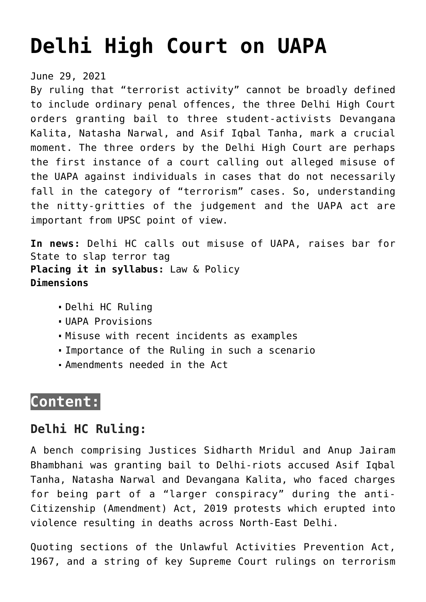# **[Delhi High Court on UAPA](https://journalsofindia.com/delhi-high-court-on-uapa/)**

June 29, 2021

By ruling that "terrorist activity" cannot be broadly defined to include ordinary penal offences, the three Delhi High Court orders granting bail to three student-activists Devangana Kalita, Natasha Narwal, and Asif Iqbal Tanha, mark a crucial moment. The three orders by the Delhi High Court are perhaps the first instance of a court calling out alleged misuse of the UAPA against individuals in cases that do not necessarily fall in the category of "terrorism" cases. So, understanding the nitty-gritties of the judgement and the UAPA act are important from UPSC point of view.

**In news:** Delhi HC calls out misuse of UAPA, raises bar for State to slap terror tag **Placing it in syllabus:** Law & Policy **Dimensions**

- Delhi HC Ruling
- UAPA Provisions
- Misuse with recent incidents as examples
- Importance of the Ruling in such a scenario
- Amendments needed in the Act

# **Content:**

## **Delhi HC Ruling:**

A bench comprising Justices Sidharth Mridul and Anup Jairam Bhambhani was granting bail to Delhi-riots accused Asif Iqbal Tanha, Natasha Narwal and Devangana Kalita, who faced charges for being part of a "larger conspiracy" during the anti-Citizenship (Amendment) Act, 2019 protests which erupted into violence resulting in deaths across North-East Delhi.

Quoting sections of the Unlawful Activities Prevention Act, 1967, and a string of key Supreme Court rulings on terrorism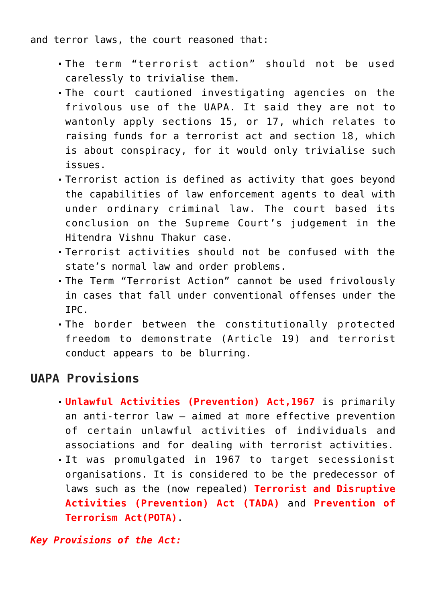and terror laws, the court reasoned that:

- The term "terrorist action" should not be used carelessly to trivialise them.
- The court cautioned investigating agencies on the frivolous use of the UAPA. It said they are not to wantonly apply sections 15, or 17, which relates to raising funds for a terrorist act and section 18, which is about conspiracy, for it would only trivialise such issues.
- Terrorist action is defined as activity that goes beyond the capabilities of law enforcement agents to deal with under ordinary criminal law. The court based its conclusion on the Supreme Court's judgement in the Hitendra Vishnu Thakur case.
- Terrorist activities should not be confused with the state's normal law and order problems.
- The Term "Terrorist Action" cannot be used frivolously in cases that fall under conventional offenses under the IPC.
- The border between the constitutionally protected freedom to demonstrate (Article 19) and terrorist conduct appears to be blurring.

## **UAPA Provisions**

- **Unlawful Activities (Prevention) Act,1967** is primarily an anti-terror law – aimed at more effective prevention of certain unlawful activities of individuals and associations and for dealing with terrorist activities.
- It was promulgated in 1967 to target secessionist organisations. It is considered to be the predecessor of laws such as the (now repealed) **Terrorist and Disruptive Activities (Prevention) Act (TADA)** and **Prevention of Terrorism Act(POTA)**.

*Key Provisions of the Act:*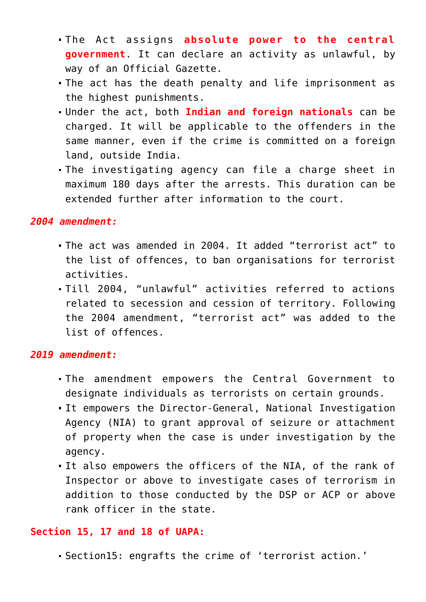- The Act assigns **absolute power to the central government**. It can declare an activity as unlawful, by way of an Official Gazette.
- The act has the death penalty and life imprisonment as the highest punishments.
- Under the act, both **Indian and foreign nationals** can be charged. It will be applicable to the offenders in the same manner, even if the crime is committed on a foreign land, outside India.
- The investigating agency can file a charge sheet in maximum 180 days after the arrests. This duration can be extended further after information to the court.

#### *2004 amendment:*

- The act was amended in 2004. It added "terrorist act" to the list of offences, to ban organisations for terrorist activities.
- Till 2004, "unlawful" activities referred to actions related to secession and cession of territory. Following the 2004 amendment, "terrorist act" was added to the list of offences.

#### *2019 amendment:*

- The amendment empowers the Central Government to designate individuals as terrorists on certain grounds.
- It empowers the Director-General, National Investigation Agency (NIA) to grant approval of seizure or attachment of property when the case is under investigation by the agency.
- It also empowers the officers of the NIA, of the rank of Inspector or above to investigate cases of terrorism in addition to those conducted by the DSP or ACP or above rank officer in the state.

#### **Section 15, 17 and 18 of UAPA:**

Section15: engrafts the crime of 'terrorist action.'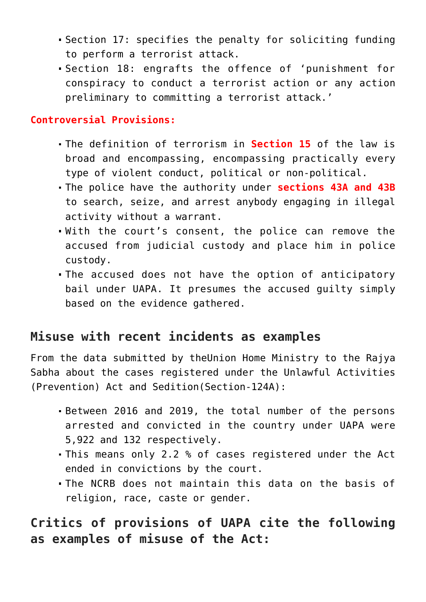- Section 17: specifies the penalty for soliciting funding to perform a terrorist attack.
- Section 18: engrafts the offence of 'punishment for conspiracy to conduct a terrorist action or any action preliminary to committing a terrorist attack.'

#### **Controversial Provisions:**

- The definition of terrorism in **Section 15** of the law is broad and encompassing, encompassing practically every type of violent conduct, political or non-political.
- The police have the authority under **sections 43A and 43B** to search, seize, and arrest anybody engaging in illegal activity without a warrant.
- With the court's consent, the police can remove the accused from judicial custody and place him in police custody.
- The accused does not have the option of anticipatory bail under UAPA. It presumes the accused guilty simply based on the evidence gathered.

# **Misuse with recent incidents as examples**

From the data submitted by theUnion Home Ministry to the Rajya Sabha about the cases registered under the Unlawful Activities (Prevention) Act and Sedition(Section-124A):

- Between 2016 and 2019, the total number of the persons arrested and convicted in the country under UAPA were 5,922 and 132 respectively.
- This means only 2.2 % of cases registered under the Act ended in convictions by the court.
- The NCRB does not maintain this data on the basis of religion, race, caste or gender.

# **Critics of provisions of UAPA cite the following as examples of misuse of the Act:**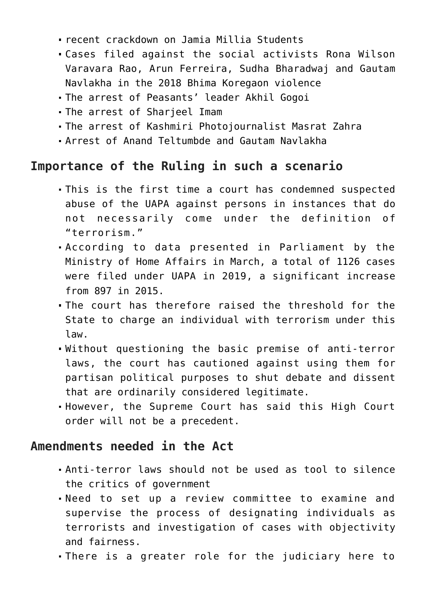- recent crackdown on Jamia Millia Students
- Cases filed against the social activists Rona Wilson Varavara Rao, Arun Ferreira, Sudha Bharadwaj and Gautam Navlakha in the 2018 Bhima Koregaon violence
- The arrest of Peasants' leader Akhil Gogoi
- The arrest of Sharjeel Imam
- The arrest of Kashmiri Photojournalist Masrat Zahra
- Arrest of Anand Teltumbde and Gautam Navlakha

# **Importance of the Ruling in such a scenario**

- This is the first time a court has condemned suspected abuse of the UAPA against persons in instances that do not necessarily come under the definition of "terrorism."
- According to data presented in Parliament by the Ministry of Home Affairs in March, a total of 1126 cases were filed under UAPA in 2019, a significant increase from 897 in 2015.
- The court has therefore raised the threshold for the State to charge an individual with terrorism under this law.
- Without questioning the basic premise of anti-terror laws, the court has cautioned against using them for partisan political purposes to shut debate and dissent that are ordinarily considered legitimate.
- However, the Supreme Court has said this High Court order will not be a precedent.

# **Amendments needed in the Act**

- Anti-terror laws should not be used as tool to silence the critics of government
- Need to set up a review committee to examine and supervise the process of designating individuals as terrorists and investigation of cases with objectivity and fairness.
- There is a greater role for the judiciary here to